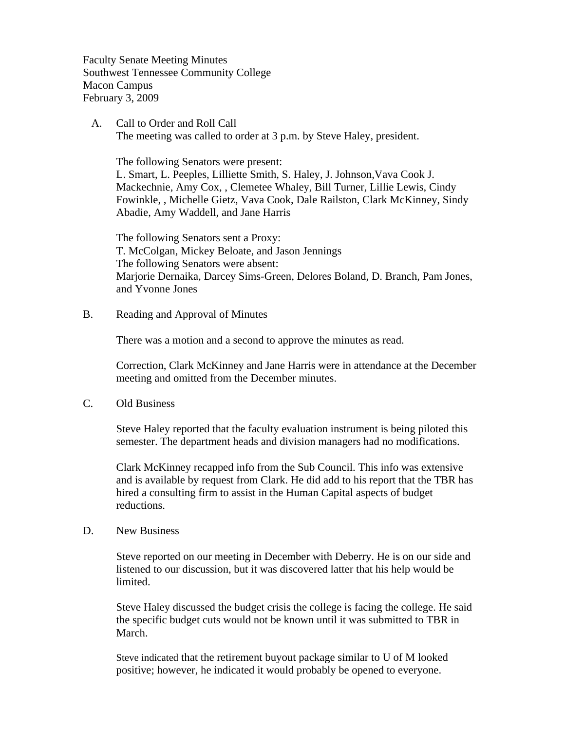Faculty Senate Meeting Minutes Southwest Tennessee Community College Macon Campus February 3, 2009

 A. Call to Order and Roll Call The meeting was called to order at 3 p.m. by Steve Haley, president.

 The following Senators were present: L. Smart, L. Peeples, Lilliette Smith, S. Haley, J. Johnson,Vava Cook J. Mackechnie, Amy Cox, , Clemetee Whaley, Bill Turner, Lillie Lewis, Cindy Fowinkle, , Michelle Gietz, Vava Cook, Dale Railston, Clark McKinney, Sindy Abadie, Amy Waddell, and Jane Harris

The following Senators sent a Proxy: T. McColgan, Mickey Beloate, and Jason Jennings The following Senators were absent: Marjorie Dernaika, Darcey Sims-Green, Delores Boland, D. Branch, Pam Jones, and Yvonne Jones

B. Reading and Approval of Minutes

There was a motion and a second to approve the minutes as read.

Correction, Clark McKinney and Jane Harris were in attendance at the December meeting and omitted from the December minutes.

C. Old Business

Steve Haley reported that the faculty evaluation instrument is being piloted this semester. The department heads and division managers had no modifications.

Clark McKinney recapped info from the Sub Council. This info was extensive and is available by request from Clark. He did add to his report that the TBR has hired a consulting firm to assist in the Human Capital aspects of budget reductions.

D. New Business

Steve reported on our meeting in December with Deberry. He is on our side and listened to our discussion, but it was discovered latter that his help would be limited.

Steve Haley discussed the budget crisis the college is facing the college. He said the specific budget cuts would not be known until it was submitted to TBR in March.

Steve indicated that the retirement buyout package similar to U of M looked positive; however, he indicated it would probably be opened to everyone.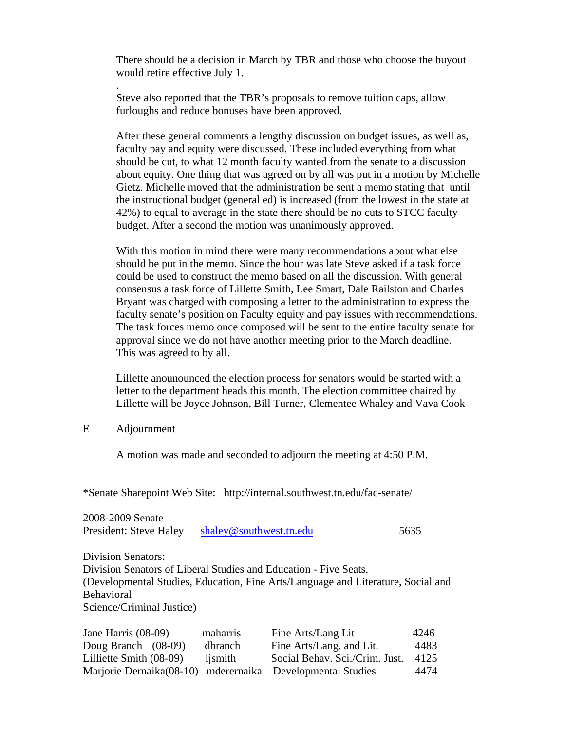There should be a decision in March by TBR and those who choose the buyout would retire effective July 1.

Steve also reported that the TBR's proposals to remove tuition caps, allow furloughs and reduce bonuses have been approved.

After these general comments a lengthy discussion on budget issues, as well as, faculty pay and equity were discussed. These included everything from what should be cut, to what 12 month faculty wanted from the senate to a discussion about equity. One thing that was agreed on by all was put in a motion by Michelle Gietz. Michelle moved that the administration be sent a memo stating that until the instructional budget (general ed) is increased (from the lowest in the state at 42%) to equal to average in the state there should be no cuts to STCC faculty budget. After a second the motion was unanimously approved.

With this motion in mind there were many recommendations about what else should be put in the memo. Since the hour was late Steve asked if a task force could be used to construct the memo based on all the discussion. With general consensus a task force of Lillette Smith, Lee Smart, Dale Railston and Charles Bryant was charged with composing a letter to the administration to express the faculty senate's position on Faculty equity and pay issues with recommendations. The task forces memo once composed will be sent to the entire faculty senate for approval since we do not have another meeting prior to the March deadline. This was agreed to by all.

Lillette anounounced the election process for senators would be started with a letter to the department heads this month. The election committee chaired by Lillette will be Joyce Johnson, Bill Turner, Clementee Whaley and Vava Cook

## E Adjournment

.

A motion was made and seconded to adjourn the meeting at 4:50 P.M.

\*Senate Sharepoint Web Site: http://internal.southwest.tn.edu/fac-senate/

| 2008-2009 Senate          |          |                                                                                  |      |
|---------------------------|----------|----------------------------------------------------------------------------------|------|
| President: Steve Haley    |          | shaley@southwest.tn.edu                                                          | 5635 |
| <b>Division Senators:</b> |          |                                                                                  |      |
|                           |          | Division Senators of Liberal Studies and Education - Five Seats.                 |      |
|                           |          | (Developmental Studies, Education, Fine Arts/Language and Literature, Social and |      |
| <b>Behavioral</b>         |          |                                                                                  |      |
| Science/Criminal Justice) |          |                                                                                  |      |
| Jane Harris (08-09)       | maharris | Fine Arts/Lang Lit                                                               | 4246 |
| Doug Branch (08-09)       | dbranch  | Fine Arts/Lang. and Lit.                                                         | 4483 |

Lilliette Smith (08-09) ljsmith Social Behav. Sci./Crim. Just. 4125 Marjorie Dernaika(08-10) mderernaika Developmental Studies 4474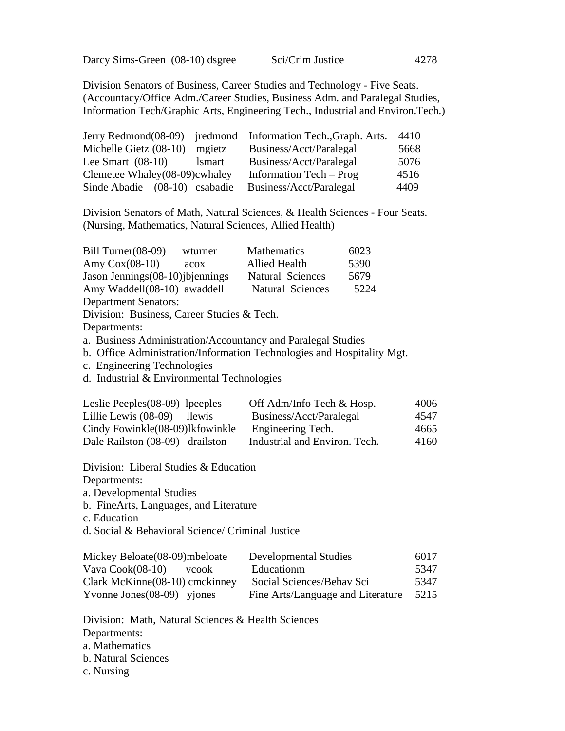Darcy Sims-Green (08-10) dsgree Sci/Crim Justice 4278

Division Senators of Business, Career Studies and Technology - Five Seats. (Accountacy/Office Adm./Career Studies, Business Adm. and Paralegal Studies, Information Tech/Graphic Arts, Engineering Tech., Industrial and Environ.Tech.)

|                               |               | Jerry Redmond(08-09) jredmond Information Tech., Graph. Arts. | 4410 |
|-------------------------------|---------------|---------------------------------------------------------------|------|
| Michelle Gietz (08-10)        | mgietz        | Business/Acct/Paralegal                                       | 5668 |
| Lee Smart $(08-10)$           | <i>lsmart</i> | Business/Acct/Paralegal                                       | 5076 |
| Clemetee Whaley(08-09)cwhaley |               | Information Tech – Prog                                       | 4516 |
| Sinde Abadie (08-10) csabadie |               | Business/Acct/Paralegal                                       | 4409 |

Division Senators of Math, Natural Sciences, & Health Sciences - Four Seats. (Nursing, Mathematics, Natural Sciences, Allied Health)

| Bill Turner $(08-09)$                      | wturner | <b>Mathematics</b>                                                     | 6023 |      |
|--------------------------------------------|---------|------------------------------------------------------------------------|------|------|
| Amy $Cox(08-10)$                           | acox    | <b>Allied Health</b>                                                   | 5390 |      |
| Jason Jennings (08-10) jbjennings          |         | <b>Natural Sciences</b>                                                | 5679 |      |
| Amy Waddell(08-10) awaddell                |         | Natural Sciences                                                       | 5224 |      |
| <b>Department Senators:</b>                |         |                                                                        |      |      |
| Division: Business, Career Studies & Tech. |         |                                                                        |      |      |
| Departments:                               |         |                                                                        |      |      |
|                                            |         | a. Business Administration/Accountancy and Paralegal Studies           |      |      |
|                                            |         | b. Office Administration/Information Technologies and Hospitality Mgt. |      |      |
| c. Engineering Technologies                |         |                                                                        |      |      |
| d. Industrial & Environmental Technologies |         |                                                                        |      |      |
|                                            |         |                                                                        |      |      |
| Leslie Peeples $(08-09)$ lpeeples          |         | Off Adm/Info Tech & Hosp.                                              |      | 4006 |
| Lillie Lewis (08-09) llewis                |         | Business/Acct/Paralegal                                                |      | 4547 |
| Cindy Fowinkle(08-09)lkfowinkle            |         | Engineering Tech.                                                      |      | 4665 |
| Dale Railston (08-09) drailston            |         | Industrial and Environ. Tech.                                          |      | 4160 |
|                                            |         |                                                                        |      |      |

Division: Liberal Studies & Education

Departments:

a. Developmental Studies

b. FineArts, Languages, and Literature

c. Education

d. Social & Behavioral Science/ Criminal Justice

| Mickey Beloate (08-09) mbeloate | <b>Developmental Studies</b>      | 6017 |
|---------------------------------|-----------------------------------|------|
| Vava $Cook(08-10)$<br>vcook     | Educationm                        | 5347 |
| Clark McKinne(08-10) cmckinney  | Social Sciences/Behav Sci         | 5347 |
| Yvonne Jones $(08-09)$ yjones   | Fine Arts/Language and Literature | 5215 |

Division: Math, Natural Sciences & Health Sciences Departments: a. Mathematics b. Natural Sciences c. Nursing